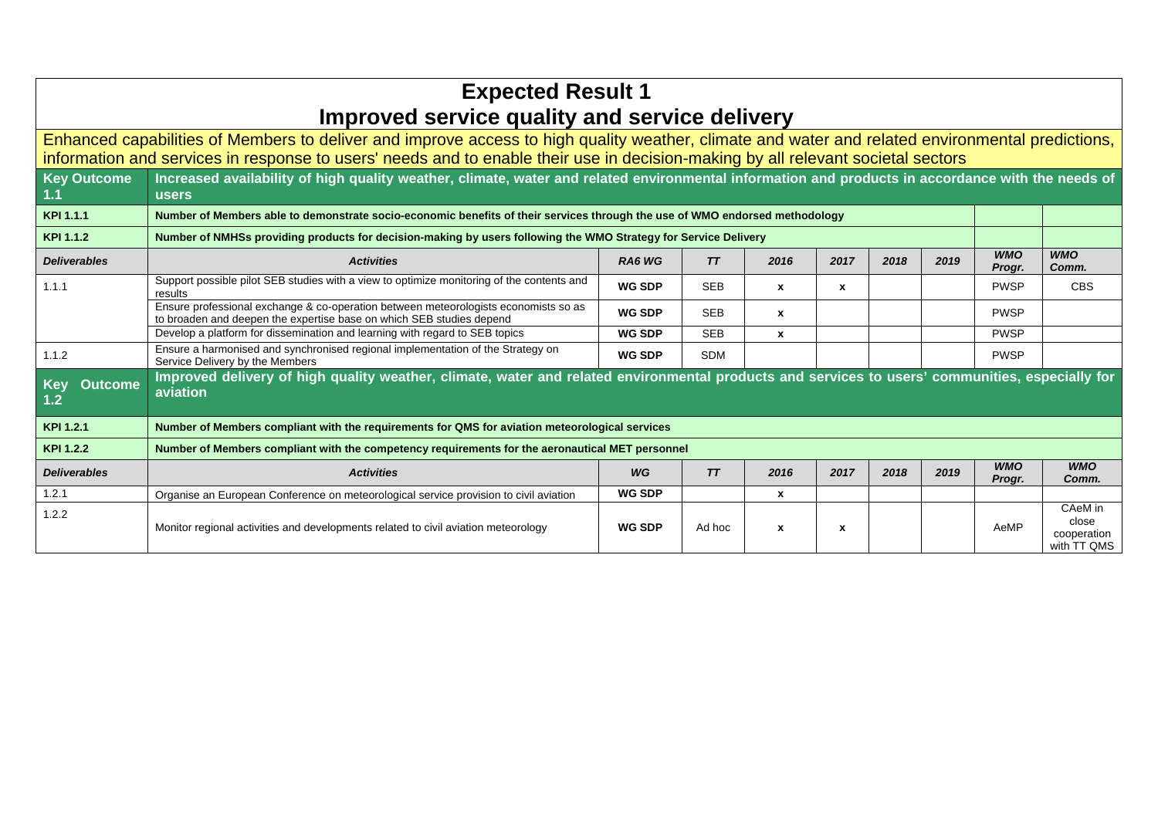## **Expected Result 1 Improved service quality and service delivery**

Enhanced capabilities of Members to deliver and improve access to high quality weather, climate and water and related environmental predictions, information and services in response to users' needs and to enable their use in decision-making by all relevant societal sectors

| <b>Key Outcome</b><br>1.1           | Increased availability of high quality weather, climate, water and related environmental information and products in accordance with the needs of<br><b>users</b> |               |            |              |                           |      |      |                      |                                                |
|-------------------------------------|-------------------------------------------------------------------------------------------------------------------------------------------------------------------|---------------|------------|--------------|---------------------------|------|------|----------------------|------------------------------------------------|
| KPI 1.1.1                           | Number of Members able to demonstrate socio-economic benefits of their services through the use of WMO endorsed methodology                                       |               |            |              |                           |      |      |                      |                                                |
| KPI 1.1.2                           | Number of NMHSs providing products for decision-making by users following the WMO Strategy for Service Delivery                                                   |               |            |              |                           |      |      |                      |                                                |
| <b>Deliverables</b>                 | <b>Activities</b>                                                                                                                                                 | RA6 WG        | T T        | 2016         | 2017                      | 2018 | 2019 | <b>WMO</b><br>Progr. | <b>WMO</b><br>Comm.                            |
| 1.1.1                               | Support possible pilot SEB studies with a view to optimize monitoring of the contents and<br>results                                                              | <b>WG SDP</b> | <b>SEB</b> | $\mathbf{x}$ | $\boldsymbol{\mathsf{x}}$ |      |      | <b>PWSP</b>          | <b>CBS</b>                                     |
|                                     | Ensure professional exchange & co-operation between meteorologists economists so as<br>to broaden and deepen the expertise base on which SEB studies depend       | <b>WG SDP</b> | <b>SEB</b> | $\mathbf{x}$ |                           |      |      | <b>PWSP</b>          |                                                |
|                                     | Develop a platform for dissemination and learning with regard to SEB topics                                                                                       | <b>WG SDP</b> | <b>SEB</b> | x            |                           |      |      | <b>PWSP</b>          |                                                |
| 1.1.2                               | Ensure a harmonised and synchronised regional implementation of the Strategy on<br>Service Delivery by the Members                                                | <b>WG SDP</b> | <b>SDM</b> |              |                           |      |      | <b>PWSP</b>          |                                                |
| <b>Outcome</b><br><b>Key</b><br>1.2 | Improved delivery of high quality weather, climate, water and related environmental products and services to users' communities, especially for<br>aviation       |               |            |              |                           |      |      |                      |                                                |
| KPI 1.2.1                           | Number of Members compliant with the requirements for QMS for aviation meteorological services                                                                    |               |            |              |                           |      |      |                      |                                                |
| KPI 1.2.2                           | Number of Members compliant with the competency requirements for the aeronautical MET personnel                                                                   |               |            |              |                           |      |      |                      |                                                |
| <b>Deliverables</b>                 | <b>Activities</b>                                                                                                                                                 | WG            | TT         | 2016         | 2017                      | 2018 | 2019 | <b>WMO</b><br>Progr. | <b>WMO</b><br>Comm.                            |
| 1.2.1                               | Organise an European Conference on meteorological service provision to civil aviation                                                                             | <b>WG SDP</b> |            | x            |                           |      |      |                      |                                                |
| 1.2.2                               | Monitor regional activities and developments related to civil aviation meteorology                                                                                | <b>WG SDP</b> | Ad hoc     | x            | $\boldsymbol{\mathsf{x}}$ |      |      | AeMP                 | CAeM in<br>close<br>cooperation<br>with TT QMS |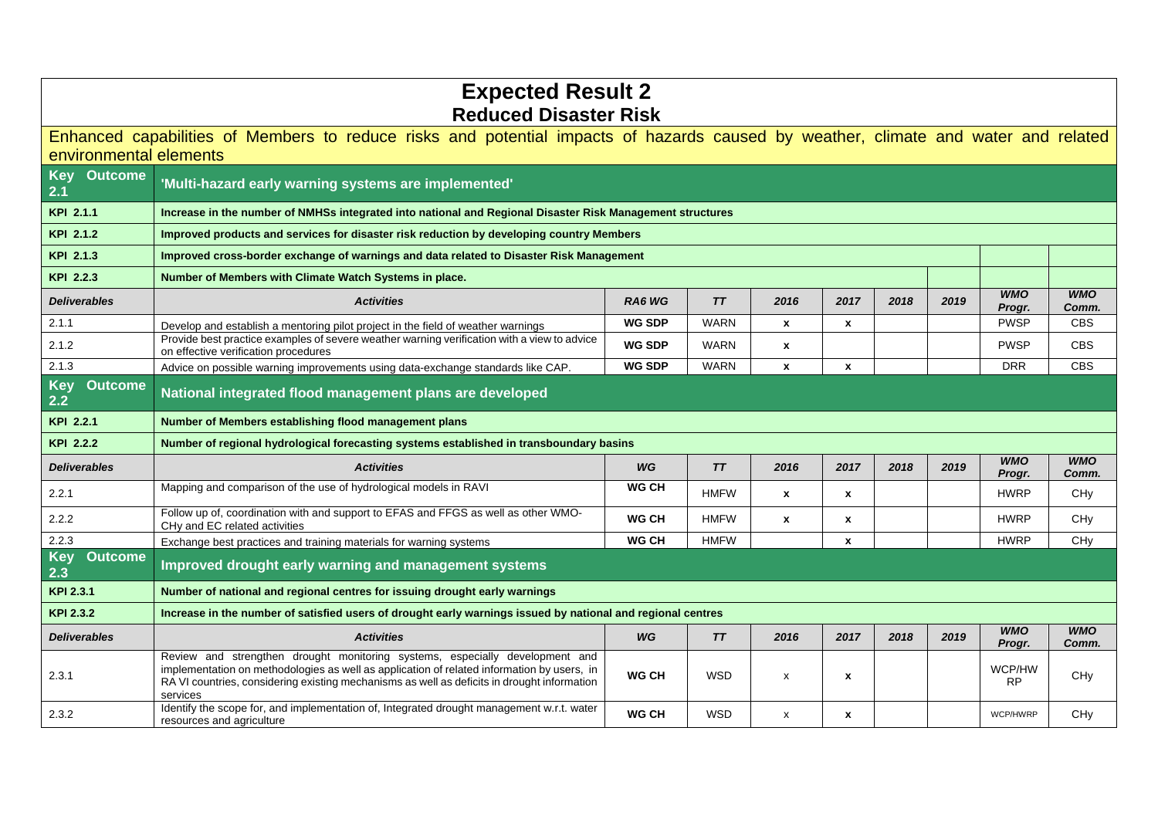| <b>Expected Result 2</b>            |                                                                                                                                                                                                                                                                                       |               |             |                |              |      |      |                      |                     |  |  |
|-------------------------------------|---------------------------------------------------------------------------------------------------------------------------------------------------------------------------------------------------------------------------------------------------------------------------------------|---------------|-------------|----------------|--------------|------|------|----------------------|---------------------|--|--|
| <b>Reduced Disaster Risk</b>        |                                                                                                                                                                                                                                                                                       |               |             |                |              |      |      |                      |                     |  |  |
| environmental elements              | Enhanced capabilities of Members to reduce risks and potential impacts of hazards caused by weather, climate and water and related                                                                                                                                                    |               |             |                |              |      |      |                      |                     |  |  |
| <b>Outcome</b><br><b>Key</b><br>2.1 | 'Multi-hazard early warning systems are implemented'                                                                                                                                                                                                                                  |               |             |                |              |      |      |                      |                     |  |  |
| KPI 2.1.1                           | Increase in the number of NMHSs integrated into national and Regional Disaster Risk Management structures                                                                                                                                                                             |               |             |                |              |      |      |                      |                     |  |  |
| KPI 2.1.2                           | Improved products and services for disaster risk reduction by developing country Members                                                                                                                                                                                              |               |             |                |              |      |      |                      |                     |  |  |
| KPI 2.1.3                           | Improved cross-border exchange of warnings and data related to Disaster Risk Management                                                                                                                                                                                               |               |             |                |              |      |      |                      |                     |  |  |
| KPI 2.2.3                           | Number of Members with Climate Watch Systems in place.                                                                                                                                                                                                                                |               |             |                |              |      |      |                      |                     |  |  |
| <b>Deliverables</b>                 | <b>Activities</b>                                                                                                                                                                                                                                                                     | RA6 WG        | TT          | 2016           | 2017         | 2018 | 2019 | <b>WMO</b><br>Progr. | <b>WMO</b><br>Comm. |  |  |
| 2.1.1                               | Develop and establish a mentoring pilot project in the field of weather warnings                                                                                                                                                                                                      | <b>WG SDP</b> | <b>WARN</b> | X              | $\mathbf{x}$ |      |      | <b>PWSP</b>          | <b>CBS</b>          |  |  |
| 2.1.2                               | Provide best practice examples of severe weather warning verification with a view to advice<br>on effective verification procedures                                                                                                                                                   | <b>WG SDP</b> | <b>WARN</b> | $\pmb{\chi}$   |              |      |      | <b>PWSP</b>          | <b>CBS</b>          |  |  |
| 2.1.3                               | Advice on possible warning improvements using data-exchange standards like CAP.                                                                                                                                                                                                       | <b>WG SDP</b> | <b>WARN</b> | $\mathbf{x}$   | $\pmb{\chi}$ |      |      | <b>DRR</b>           | <b>CBS</b>          |  |  |
| <b>Outcome</b><br><b>Key</b><br>2.2 | National integrated flood management plans are developed                                                                                                                                                                                                                              |               |             |                |              |      |      |                      |                     |  |  |
| KPI 2.2.1                           | Number of Members establishing flood management plans                                                                                                                                                                                                                                 |               |             |                |              |      |      |                      |                     |  |  |
| KPI 2.2.2                           | Number of regional hydrological forecasting systems established in transboundary basins                                                                                                                                                                                               |               |             |                |              |      |      |                      |                     |  |  |
| <b>Deliverables</b>                 | <b>Activities</b>                                                                                                                                                                                                                                                                     | WG            | TT          | 2016           | 2017         | 2018 | 2019 | <b>WMO</b><br>Progr. | <b>WMO</b><br>Comm. |  |  |
| 2.2.1                               | Mapping and comparison of the use of hydrological models in RAVI                                                                                                                                                                                                                      | <b>WG CH</b>  | <b>HMFW</b> | X              | $\mathbf{x}$ |      |      | <b>HWRP</b>          | CHy                 |  |  |
| 2.2.2                               | Follow up of, coordination with and support to EFAS and FFGS as well as other WMO-<br>CHy and EC related activities                                                                                                                                                                   | <b>WG CH</b>  | <b>HMFW</b> | $\mathbf{x}$   | $\mathbf{x}$ |      |      | <b>HWRP</b>          | CHy                 |  |  |
| 2.2.3                               | Exchange best practices and training materials for warning systems                                                                                                                                                                                                                    | <b>WG CH</b>  | <b>HMFW</b> |                | $\mathbf{x}$ |      |      | <b>HWRP</b>          | CH <sub>V</sub>     |  |  |
| <b>Outcome</b><br><b>Key</b><br>2.3 | Improved drought early warning and management systems                                                                                                                                                                                                                                 |               |             |                |              |      |      |                      |                     |  |  |
| <b>KPI 2.3.1</b>                    | Number of national and regional centres for issuing drought early warnings                                                                                                                                                                                                            |               |             |                |              |      |      |                      |                     |  |  |
| KPI 2.3.2                           | Increase in the number of satisfied users of drought early warnings issued by national and regional centres                                                                                                                                                                           |               |             |                |              |      |      |                      |                     |  |  |
| <b>Deliverables</b>                 | <b>Activities</b>                                                                                                                                                                                                                                                                     | WG            | TT          | 2016           | 2017         | 2018 | 2019 | <b>WMO</b><br>Progr. | <b>WMO</b><br>Comm. |  |  |
| 2.3.1                               | Review and strengthen drought monitoring systems, especially development and<br>implementation on methodologies as well as application of related information by users, in<br>RA VI countries, considering existing mechanisms as well as deficits in drought information<br>services | <b>WG CH</b>  | <b>WSD</b>  | X              | X            |      |      | WCP/HW<br><b>RP</b>  | CHy                 |  |  |
| 2.3.2                               | Identify the scope for, and implementation of, Integrated drought management w.r.t. water<br>resources and agriculture                                                                                                                                                                | <b>WG CH</b>  | <b>WSD</b>  | $\pmb{\times}$ | x            |      |      | WCP/HWRP             | CHy                 |  |  |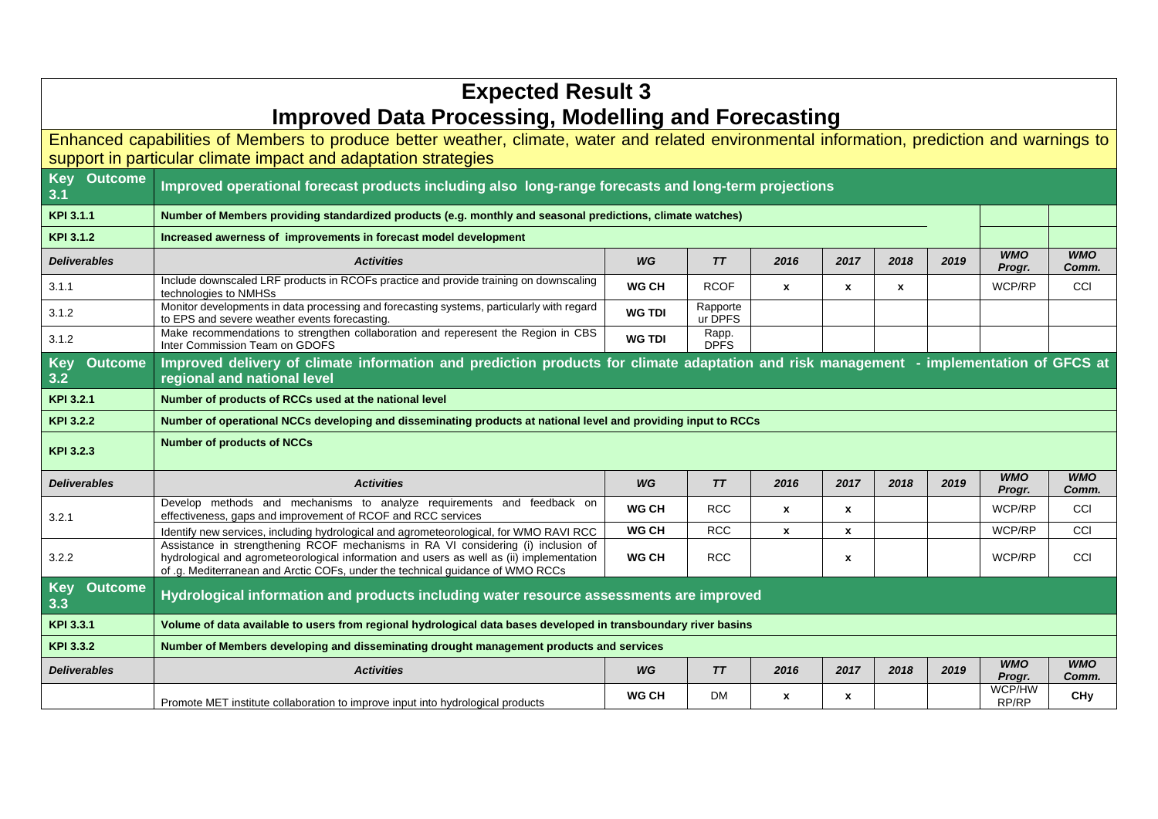| <b>Expected Result 3</b>                                                                                                                     |                                                                                                                                                                                                                                                                 |               |                      |                  |              |      |      |                      |                     |  |
|----------------------------------------------------------------------------------------------------------------------------------------------|-----------------------------------------------------------------------------------------------------------------------------------------------------------------------------------------------------------------------------------------------------------------|---------------|----------------------|------------------|--------------|------|------|----------------------|---------------------|--|
| <b>Improved Data Processing, Modelling and Forecasting</b>                                                                                   |                                                                                                                                                                                                                                                                 |               |                      |                  |              |      |      |                      |                     |  |
| Enhanced capabilities of Members to produce better weather, climate, water and related environmental information, prediction and warnings to |                                                                                                                                                                                                                                                                 |               |                      |                  |              |      |      |                      |                     |  |
| support in particular climate impact and adaptation strategies                                                                               |                                                                                                                                                                                                                                                                 |               |                      |                  |              |      |      |                      |                     |  |
| <b>Outcome</b><br><b>Key</b><br>3.1                                                                                                          | Improved operational forecast products including also long-range forecasts and long-term projections                                                                                                                                                            |               |                      |                  |              |      |      |                      |                     |  |
| <b>KPI 3.1.1</b>                                                                                                                             | Number of Members providing standardized products (e.g. monthly and seasonal predictions, climate watches)                                                                                                                                                      |               |                      |                  |              |      |      |                      |                     |  |
| <b>KPI 3.1.2</b>                                                                                                                             | Increased awerness of improvements in forecast model development                                                                                                                                                                                                |               |                      |                  |              |      |      |                      |                     |  |
| <b>Deliverables</b>                                                                                                                          | <b>Activities</b>                                                                                                                                                                                                                                               | WG            | TT                   | 2016             | 2017         | 2018 | 2019 | <b>WMO</b><br>Progr. | <b>WMO</b><br>Comm. |  |
| 3.1.1                                                                                                                                        | Include downscaled LRF products in RCOFs practice and provide training on downscaling<br>technologies to NMHSs                                                                                                                                                  | <b>WG CH</b>  | <b>RCOF</b>          | $\boldsymbol{x}$ | $\mathbf{x}$ | x    |      | WCP/RP               | <b>CCI</b>          |  |
| 3.1.2                                                                                                                                        | Monitor developments in data processing and forecasting systems, particularly with regard<br>to EPS and severe weather events forecasting.                                                                                                                      | <b>WG TDI</b> | Rapporte<br>ur DPFS  |                  |              |      |      |                      |                     |  |
| 3.1.2                                                                                                                                        | Make recommendations to strengthen collaboration and reperesent the Region in CBS<br>Inter Commission Team on GDOFS                                                                                                                                             | <b>WG TDI</b> | Rapp.<br><b>DPFS</b> |                  |              |      |      |                      |                     |  |
| <b>Outcome</b><br><b>Key</b>                                                                                                                 | Improved delivery of climate information and prediction products for climate adaptation and risk management - implementation of GFCS at                                                                                                                         |               |                      |                  |              |      |      |                      |                     |  |
| 3.2                                                                                                                                          | regional and national level                                                                                                                                                                                                                                     |               |                      |                  |              |      |      |                      |                     |  |
| KPI 3.2.1                                                                                                                                    | Number of products of RCCs used at the national level                                                                                                                                                                                                           |               |                      |                  |              |      |      |                      |                     |  |
| KPI 3.2.2                                                                                                                                    | Number of operational NCCs developing and disseminating products at national level and providing input to RCCs                                                                                                                                                  |               |                      |                  |              |      |      |                      |                     |  |
| KPI 3.2.3                                                                                                                                    | <b>Number of products of NCCs</b>                                                                                                                                                                                                                               |               |                      |                  |              |      |      |                      |                     |  |
| <b>Deliverables</b>                                                                                                                          | <b>Activities</b>                                                                                                                                                                                                                                               | WG            | TT                   | 2016             | 2017         | 2018 | 2019 | <b>WMO</b><br>Progr. | <b>WMO</b><br>Comm. |  |
| 3.2.1                                                                                                                                        | Develop methods and mechanisms to analyze requirements and feedback on<br>effectiveness, gaps and improvement of RCOF and RCC services                                                                                                                          | <b>WG CH</b>  | <b>RCC</b>           | x                | x            |      |      | WCP/RP               | CCI                 |  |
|                                                                                                                                              | Identify new services, including hydrological and agrometeorological, for WMO RAVI RCC                                                                                                                                                                          | WG CH         | <b>RCC</b>           | X                | $\mathbf{x}$ |      |      | WCP/RP               | CCI                 |  |
| 3.2.2                                                                                                                                        | Assistance in strengthening RCOF mechanisms in RA VI considering (i) inclusion of<br>hydrological and agrometeorological information and users as well as (ii) implementation<br>of .g. Mediterranean and Arctic COFs, under the technical guidance of WMO RCCs | <b>WG CH</b>  | <b>RCC</b>           |                  | x            |      |      | WCP/RP               | <b>CCI</b>          |  |
| <b>Outcome</b><br><b>Key</b><br>3.3                                                                                                          | Hydrological information and products including water resource assessments are improved                                                                                                                                                                         |               |                      |                  |              |      |      |                      |                     |  |
| KPI 3.3.1                                                                                                                                    | Volume of data available to users from regional hydrological data bases developed in transboundary river basins                                                                                                                                                 |               |                      |                  |              |      |      |                      |                     |  |
| <b>KPI 3.3.2</b>                                                                                                                             | Number of Members developing and disseminating drought management products and services                                                                                                                                                                         |               |                      |                  |              |      |      |                      |                     |  |
|                                                                                                                                              |                                                                                                                                                                                                                                                                 |               |                      |                  |              |      |      |                      |                     |  |
| <b>Deliverables</b>                                                                                                                          | <b>Activities</b>                                                                                                                                                                                                                                               | WG            | TT                   | 2016             | 2017         | 2018 | 2019 | <b>WMO</b><br>Progr. | <b>WMO</b><br>Comm. |  |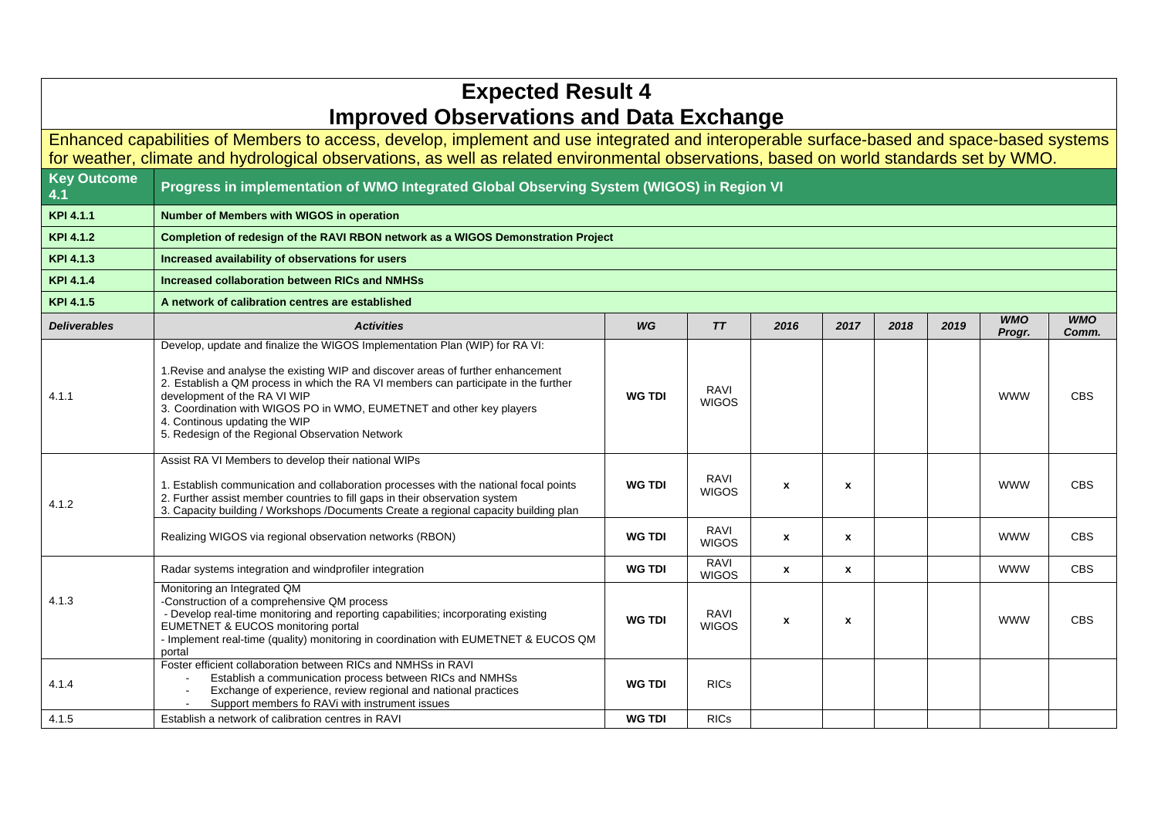| <b>Expected Result 4</b><br><b>Improved Observations and Data Exchange</b>                                                                                                                                                                                                           |                                                                                                                                                                                                                                                                                                                                                                                                                                                    |               |                             |                  |              |      |      |                      |                     |  |  |
|--------------------------------------------------------------------------------------------------------------------------------------------------------------------------------------------------------------------------------------------------------------------------------------|----------------------------------------------------------------------------------------------------------------------------------------------------------------------------------------------------------------------------------------------------------------------------------------------------------------------------------------------------------------------------------------------------------------------------------------------------|---------------|-----------------------------|------------------|--------------|------|------|----------------------|---------------------|--|--|
| Enhanced capabilities of Members to access, develop, implement and use integrated and interoperable surface-based and space-based systems<br>for weather, climate and hydrological observations, as well as related environmental observations, based on world standards set by WMO. |                                                                                                                                                                                                                                                                                                                                                                                                                                                    |               |                             |                  |              |      |      |                      |                     |  |  |
| <b>Key Outcome</b><br>4.1                                                                                                                                                                                                                                                            | Progress in implementation of WMO Integrated Global Observing System (WIGOS) in Region VI                                                                                                                                                                                                                                                                                                                                                          |               |                             |                  |              |      |      |                      |                     |  |  |
| KPI 4.1.1                                                                                                                                                                                                                                                                            | Number of Members with WIGOS in operation                                                                                                                                                                                                                                                                                                                                                                                                          |               |                             |                  |              |      |      |                      |                     |  |  |
| KPI 4.1.2                                                                                                                                                                                                                                                                            | Completion of redesign of the RAVI RBON network as a WIGOS Demonstration Project                                                                                                                                                                                                                                                                                                                                                                   |               |                             |                  |              |      |      |                      |                     |  |  |
| KPI 4.1.3                                                                                                                                                                                                                                                                            | Increased availability of observations for users                                                                                                                                                                                                                                                                                                                                                                                                   |               |                             |                  |              |      |      |                      |                     |  |  |
| KPI 4.1.4                                                                                                                                                                                                                                                                            | Increased collaboration between RICs and NMHSs                                                                                                                                                                                                                                                                                                                                                                                                     |               |                             |                  |              |      |      |                      |                     |  |  |
| KPI 4.1.5                                                                                                                                                                                                                                                                            | A network of calibration centres are established                                                                                                                                                                                                                                                                                                                                                                                                   |               |                             |                  |              |      |      |                      |                     |  |  |
| <b>Deliverables</b>                                                                                                                                                                                                                                                                  | <b>Activities</b>                                                                                                                                                                                                                                                                                                                                                                                                                                  | WG            | TT                          | 2016             | 2017         | 2018 | 2019 | <b>WMO</b><br>Progr. | <b>WMO</b><br>Comm. |  |  |
| 4.1.1                                                                                                                                                                                                                                                                                | Develop, update and finalize the WIGOS Implementation Plan (WIP) for RA VI:<br>1. Revise and analyse the existing WIP and discover areas of further enhancement<br>2. Establish a QM process in which the RA VI members can participate in the further<br>development of the RA VI WIP<br>3. Coordination with WIGOS PO in WMO, EUMETNET and other key players<br>4. Continous updating the WIP<br>5. Redesign of the Regional Observation Network | <b>WG TDI</b> | RAVI<br><b>WIGOS</b>        |                  |              |      |      | <b>WWW</b>           | <b>CBS</b>          |  |  |
| 4.1.2                                                                                                                                                                                                                                                                                | Assist RA VI Members to develop their national WIPs<br>1. Establish communication and collaboration processes with the national focal points<br>2. Further assist member countries to fill gaps in their observation system<br>3. Capacity building / Workshops / Documents Create a regional capacity building plan                                                                                                                               | <b>WG TDI</b> | RAVI<br><b>WIGOS</b>        | $\boldsymbol{x}$ | x            |      |      | <b>WWW</b>           | <b>CBS</b>          |  |  |
|                                                                                                                                                                                                                                                                                      | Realizing WIGOS via regional observation networks (RBON)                                                                                                                                                                                                                                                                                                                                                                                           | <b>WG TDI</b> | RAVI<br><b>WIGOS</b>        | $\mathbf{x}$     | $\mathbf{x}$ |      |      | <b>WWW</b>           | <b>CBS</b>          |  |  |
|                                                                                                                                                                                                                                                                                      | Radar systems integration and windprofiler integration                                                                                                                                                                                                                                                                                                                                                                                             | <b>WG TDI</b> | <b>RAVI</b><br><b>WIGOS</b> | $\pmb{\chi}$     | $\mathbf{x}$ |      |      | <b>WWW</b>           | <b>CBS</b>          |  |  |
| 4.1.3                                                                                                                                                                                                                                                                                | Monitoring an Integrated QM<br>-Construction of a comprehensive QM process<br>- Develop real-time monitoring and reporting capabilities; incorporating existing<br>EUMETNET & EUCOS monitoring portal<br>- Implement real-time (quality) monitoring in coordination with EUMETNET & EUCOS QM<br>portal                                                                                                                                             | <b>WG TDI</b> | RAVI<br><b>WIGOS</b>        | $\mathbf{x}$     | x            |      |      | <b>WWW</b>           | <b>CBS</b>          |  |  |
| 4.1.4                                                                                                                                                                                                                                                                                | Foster efficient collaboration between RICs and NMHSs in RAVI<br>Establish a communication process between RICs and NMHSs<br>Exchange of experience, review regional and national practices<br>Support members fo RAVi with instrument issues                                                                                                                                                                                                      | <b>WG TDI</b> | <b>RICs</b>                 |                  |              |      |      |                      |                     |  |  |
| 4.1.5                                                                                                                                                                                                                                                                                | Establish a network of calibration centres in RAVI                                                                                                                                                                                                                                                                                                                                                                                                 | <b>WG TDI</b> | <b>RICs</b>                 |                  |              |      |      |                      |                     |  |  |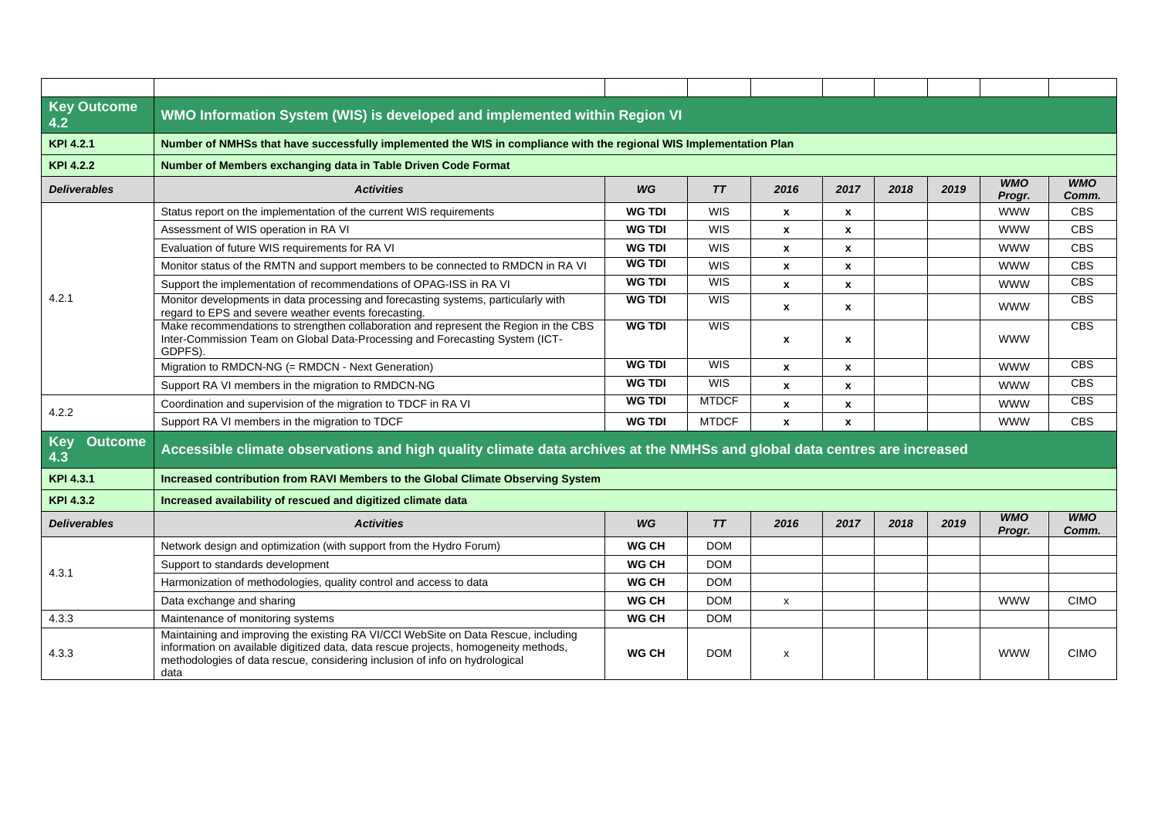| <b>Key Outcome</b><br>4.2           | WMO Information System (WIS) is developed and implemented within Region VI                                                                                                                                                                                       |               |              |                    |              |      |      |                      |                     |  |  |
|-------------------------------------|------------------------------------------------------------------------------------------------------------------------------------------------------------------------------------------------------------------------------------------------------------------|---------------|--------------|--------------------|--------------|------|------|----------------------|---------------------|--|--|
| KPI 4.2.1                           | Number of NMHSs that have successfully implemented the WIS in compliance with the regional WIS Implementation Plan                                                                                                                                               |               |              |                    |              |      |      |                      |                     |  |  |
| <b>KPI 4.2.2</b>                    | Number of Members exchanging data in Table Driven Code Format                                                                                                                                                                                                    |               |              |                    |              |      |      |                      |                     |  |  |
| <b>Deliverables</b>                 | <b>Activities</b>                                                                                                                                                                                                                                                | WG            | TT           | 2016               | 2017         | 2018 | 2019 | <b>WMO</b><br>Progr. | <b>WMO</b><br>Comm. |  |  |
|                                     | Status report on the implementation of the current WIS requirements                                                                                                                                                                                              | <b>WG TDI</b> | <b>WIS</b>   | $\pmb{\chi}$       | x            |      |      | <b>WWW</b>           | <b>CBS</b>          |  |  |
|                                     | Assessment of WIS operation in RA VI                                                                                                                                                                                                                             | <b>WG TDI</b> | <b>WIS</b>   | $\pmb{\chi}$       | x            |      |      | <b>WWW</b>           | <b>CBS</b>          |  |  |
|                                     | Evaluation of future WIS requirements for RA VI                                                                                                                                                                                                                  | <b>WG TDI</b> | <b>WIS</b>   | $\mathbf{x}$       | $\mathbf{x}$ |      |      | <b>WWW</b>           | <b>CBS</b>          |  |  |
|                                     | Monitor status of the RMTN and support members to be connected to RMDCN in RA VI                                                                                                                                                                                 | <b>WG TDI</b> | <b>WIS</b>   | $\pmb{\chi}$       | x            |      |      | <b>WWW</b>           | <b>CBS</b>          |  |  |
|                                     | Support the implementation of recommendations of OPAG-ISS in RA VI                                                                                                                                                                                               | <b>WG TDI</b> | <b>WIS</b>   | $\mathbf{x}$       | $\mathbf{x}$ |      |      | <b>WWW</b>           | <b>CBS</b>          |  |  |
| 4.2.1                               | Monitor developments in data processing and forecasting systems, particularly with<br>regard to EPS and severe weather events forecasting.                                                                                                                       | <b>WG TDI</b> | WIS          | $\pmb{\chi}$       | x            |      |      | <b>WWW</b>           | CBS                 |  |  |
|                                     | Make recommendations to strengthen collaboration and represent the Region in the CBS<br>Inter-Commission Team on Global Data-Processing and Forecasting System (ICT-<br>GDPFS).                                                                                  | <b>WG TDI</b> | WIS          | X                  | x            |      |      | <b>WWW</b>           | CBS                 |  |  |
|                                     | Migration to RMDCN-NG (= RMDCN - Next Generation)                                                                                                                                                                                                                | <b>WG TDI</b> | WIS          | $\mathbf{x}$       | $\mathbf{x}$ |      |      | <b>WWW</b>           | CBS                 |  |  |
|                                     | Support RA VI members in the migration to RMDCN-NG                                                                                                                                                                                                               | <b>WG TDI</b> | <b>WIS</b>   | $\pmb{\mathsf{x}}$ | x            |      |      | <b>WWW</b>           | <b>CBS</b>          |  |  |
| 4.2.2                               | Coordination and supervision of the migration to TDCF in RA VI                                                                                                                                                                                                   | <b>WG TDI</b> | <b>MTDCF</b> | $\pmb{\chi}$       | x            |      |      | <b>WWW</b>           | CBS                 |  |  |
|                                     | Support RA VI members in the migration to TDCF                                                                                                                                                                                                                   | <b>WG TDI</b> | <b>MTDCF</b> | $\pmb{\mathsf{x}}$ | $\pmb{\chi}$ |      |      | <b>WWW</b>           | <b>CBS</b>          |  |  |
| <b>Key</b><br><b>Outcome</b><br>4.3 | Accessible climate observations and high quality climate data archives at the NMHSs and global data centres are increased                                                                                                                                        |               |              |                    |              |      |      |                      |                     |  |  |
| KPI 4.3.1                           | Increased contribution from RAVI Members to the Global Climate Observing System                                                                                                                                                                                  |               |              |                    |              |      |      |                      |                     |  |  |
| KPI 4.3.2                           | Increased availability of rescued and digitized climate data                                                                                                                                                                                                     |               |              |                    |              |      |      |                      |                     |  |  |
| <b>Deliverables</b>                 | <b>Activities</b>                                                                                                                                                                                                                                                | WG            | TT           | 2016               | 2017         | 2018 | 2019 | <b>WMO</b><br>Progr. | <b>WMO</b><br>Comm. |  |  |
|                                     | Network design and optimization (with support from the Hydro Forum)                                                                                                                                                                                              | <b>WG CH</b>  | <b>DOM</b>   |                    |              |      |      |                      |                     |  |  |
| 4.3.1                               | Support to standards development                                                                                                                                                                                                                                 | <b>WG CH</b>  | <b>DOM</b>   |                    |              |      |      |                      |                     |  |  |
|                                     | Harmonization of methodologies, quality control and access to data                                                                                                                                                                                               | WG CH         | <b>DOM</b>   |                    |              |      |      |                      |                     |  |  |
|                                     | Data exchange and sharing                                                                                                                                                                                                                                        | <b>WG CH</b>  | <b>DOM</b>   | X                  |              |      |      | <b>WWW</b>           | <b>CIMO</b>         |  |  |
| 4.3.3                               | Maintenance of monitoring systems                                                                                                                                                                                                                                | WG CH         | <b>DOM</b>   |                    |              |      |      |                      |                     |  |  |
| 4.3.3                               | Maintaining and improving the existing RA VI/CCI WebSite on Data Rescue, including<br>information on available digitized data, data rescue projects, homogeneity methods,<br>methodologies of data rescue, considering inclusion of info on hydrological<br>data | <b>WG CH</b>  | <b>DOM</b>   | X                  |              |      |      | <b>WWW</b>           | <b>CIMO</b>         |  |  |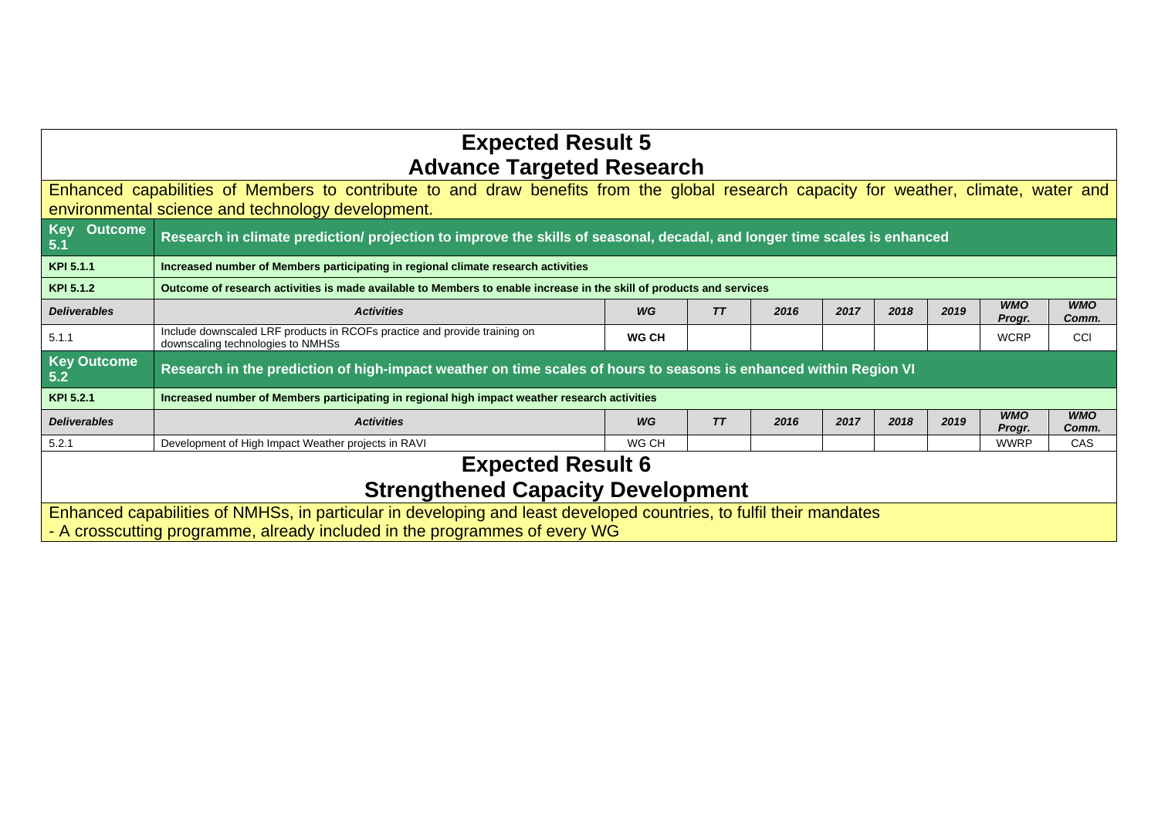| <b>Expected Result 5</b>                                                                                                                                                                          |                                                                                                                           |       |                 |      |      |      |      |                      |                     |  |
|---------------------------------------------------------------------------------------------------------------------------------------------------------------------------------------------------|---------------------------------------------------------------------------------------------------------------------------|-------|-----------------|------|------|------|------|----------------------|---------------------|--|
| <b>Advance Targeted Research</b>                                                                                                                                                                  |                                                                                                                           |       |                 |      |      |      |      |                      |                     |  |
| Enhanced capabilities of Members to contribute to and draw benefits from the global research capacity for weather, climate, water and                                                             |                                                                                                                           |       |                 |      |      |      |      |                      |                     |  |
| environmental science and technology development.                                                                                                                                                 |                                                                                                                           |       |                 |      |      |      |      |                      |                     |  |
| Key Outcome<br>5.1                                                                                                                                                                                | Research in climate prediction/ projection to improve the skills of seasonal, decadal, and longer time scales is enhanced |       |                 |      |      |      |      |                      |                     |  |
| KPI 5.1.1                                                                                                                                                                                         | Increased number of Members participating in regional climate research activities                                         |       |                 |      |      |      |      |                      |                     |  |
| KPI 5.1.2                                                                                                                                                                                         | Outcome of research activities is made available to Members to enable increase in the skill of products and services      |       |                 |      |      |      |      |                      |                     |  |
| <b>Deliverables</b>                                                                                                                                                                               | <b>Activities</b>                                                                                                         | WG    | $T\overline{T}$ | 2016 | 2017 | 2018 | 2019 | <b>WMO</b><br>Progr. | <b>WMO</b><br>Comm. |  |
| 5.1.1                                                                                                                                                                                             | Include downscaled LRF products in RCOFs practice and provide training on<br>downscaling technologies to NMHSs            | WG CH |                 |      |      |      |      | <b>WCRP</b>          | <b>CCI</b>          |  |
| <b>Key Outcome</b><br>5.2                                                                                                                                                                         | Research in the prediction of high-impact weather on time scales of hours to seasons is enhanced within Region VI         |       |                 |      |      |      |      |                      |                     |  |
| KPI 5.2.1                                                                                                                                                                                         | Increased number of Members participating in regional high impact weather research activities                             |       |                 |      |      |      |      |                      |                     |  |
| <b>Deliverables</b>                                                                                                                                                                               | <b>Activities</b>                                                                                                         | WG    | TT              | 2016 | 2017 | 2018 | 2019 | <b>WMO</b><br>Progr. | <b>WMO</b><br>Comm. |  |
| 5.2.1                                                                                                                                                                                             | Development of High Impact Weather projects in RAVI                                                                       | WG CH |                 |      |      |      |      | <b>WWRP</b>          | CAS                 |  |
|                                                                                                                                                                                                   | <b>Expected Result 6</b>                                                                                                  |       |                 |      |      |      |      |                      |                     |  |
| <b>Strengthened Capacity Development</b>                                                                                                                                                          |                                                                                                                           |       |                 |      |      |      |      |                      |                     |  |
| Enhanced capabilities of NMHSs, in particular in developing and least developed countries, to fulfil their mandates<br>- A crosscutting programme, already included in the programmes of every WG |                                                                                                                           |       |                 |      |      |      |      |                      |                     |  |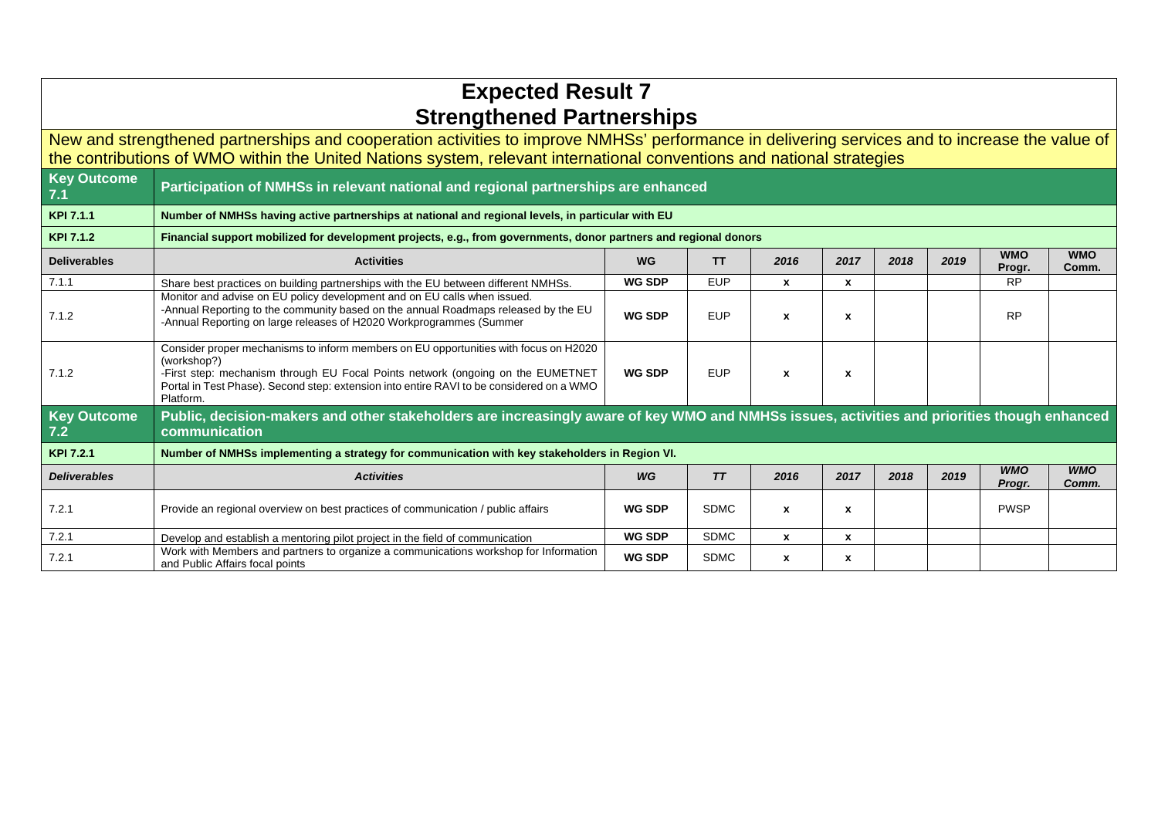| <b>Expected Result 7</b><br><b>Strengthened Partnerships</b>                                                                                                                                                                                                            |                                                                                                                                                                                                                                                                                                 |               |             |              |      |      |      |                      |                     |  |
|-------------------------------------------------------------------------------------------------------------------------------------------------------------------------------------------------------------------------------------------------------------------------|-------------------------------------------------------------------------------------------------------------------------------------------------------------------------------------------------------------------------------------------------------------------------------------------------|---------------|-------------|--------------|------|------|------|----------------------|---------------------|--|
| New and strengthened partnerships and cooperation activities to improve NMHSs' performance in delivering services and to increase the value of<br>the contributions of WMO within the United Nations system, relevant international conventions and national strategies |                                                                                                                                                                                                                                                                                                 |               |             |              |      |      |      |                      |                     |  |
| <b>Key Outcome</b><br>7.1                                                                                                                                                                                                                                               | Participation of NMHSs in relevant national and regional partnerships are enhanced                                                                                                                                                                                                              |               |             |              |      |      |      |                      |                     |  |
| <b>KPI 7.1.1</b>                                                                                                                                                                                                                                                        | Number of NMHSs having active partnerships at national and regional levels, in particular with EU                                                                                                                                                                                               |               |             |              |      |      |      |                      |                     |  |
| <b>KPI 7.1.2</b><br>Financial support mobilized for development projects, e.g., from governments, donor partners and regional donors                                                                                                                                    |                                                                                                                                                                                                                                                                                                 |               |             |              |      |      |      |                      |                     |  |
| <b>Deliverables</b>                                                                                                                                                                                                                                                     | <b>Activities</b>                                                                                                                                                                                                                                                                               | <b>WG</b>     | <b>TT</b>   | 2016         | 2017 | 2018 | 2019 | <b>WMO</b><br>Progr. | <b>WMO</b><br>Comm. |  |
| 7.1.1                                                                                                                                                                                                                                                                   | Share best practices on building partnerships with the EU between different NMHSs.                                                                                                                                                                                                              | <b>WG SDP</b> | <b>EUP</b>  | $\mathbf{x}$ | x    |      |      | <b>RP</b>            |                     |  |
| 7.1.2                                                                                                                                                                                                                                                                   | Monitor and advise on EU policy development and on EU calls when issued.<br>-Annual Reporting to the community based on the annual Roadmaps released by the EU<br>-Annual Reporting on large releases of H2020 Workprogrammes (Summer                                                           | <b>WG SDP</b> | <b>EUP</b>  | $\mathbf{x}$ | x    |      |      | <b>RP</b>            |                     |  |
| 7.1.2                                                                                                                                                                                                                                                                   | Consider proper mechanisms to inform members on EU opportunities with focus on H2020<br>(workshop?)<br>-First step: mechanism through EU Focal Points network (ongoing on the EUMETNET<br>Portal in Test Phase). Second step: extension into entire RAVI to be considered on a WMO<br>Platform. | WG SDP        | <b>EUP</b>  | $\mathbf{x}$ | x    |      |      |                      |                     |  |
| <b>Key Outcome</b><br>7.2                                                                                                                                                                                                                                               | Public, decision-makers and other stakeholders are increasingly aware of key WMO and NMHSs issues, activities and priorities though enhanced<br>communication                                                                                                                                   |               |             |              |      |      |      |                      |                     |  |
| KPI 7.2.1                                                                                                                                                                                                                                                               | Number of NMHSs implementing a strategy for communication with key stakeholders in Region VI.                                                                                                                                                                                                   |               |             |              |      |      |      |                      |                     |  |
| <b>Deliverables</b>                                                                                                                                                                                                                                                     | <b>Activities</b>                                                                                                                                                                                                                                                                               | WG            | TT          | 2016         | 2017 | 2018 | 2019 | <b>WMO</b><br>Progr. | <b>WMO</b><br>Comm. |  |
| 7.2.1                                                                                                                                                                                                                                                                   | Provide an regional overview on best practices of communication / public affairs                                                                                                                                                                                                                | <b>WG SDP</b> | <b>SDMC</b> | $\mathbf{x}$ | x    |      |      | <b>PWSP</b>          |                     |  |
| 7.2.1                                                                                                                                                                                                                                                                   | Develop and establish a mentoring pilot project in the field of communication                                                                                                                                                                                                                   | <b>WG SDP</b> | <b>SDMC</b> | $\mathbf{x}$ | x    |      |      |                      |                     |  |
| 7.2.1                                                                                                                                                                                                                                                                   | Work with Members and partners to organize a communications workshop for Information<br>and Public Affairs focal points                                                                                                                                                                         | <b>WG SDP</b> | <b>SDMC</b> | $\mathbf{x}$ | x    |      |      |                      |                     |  |